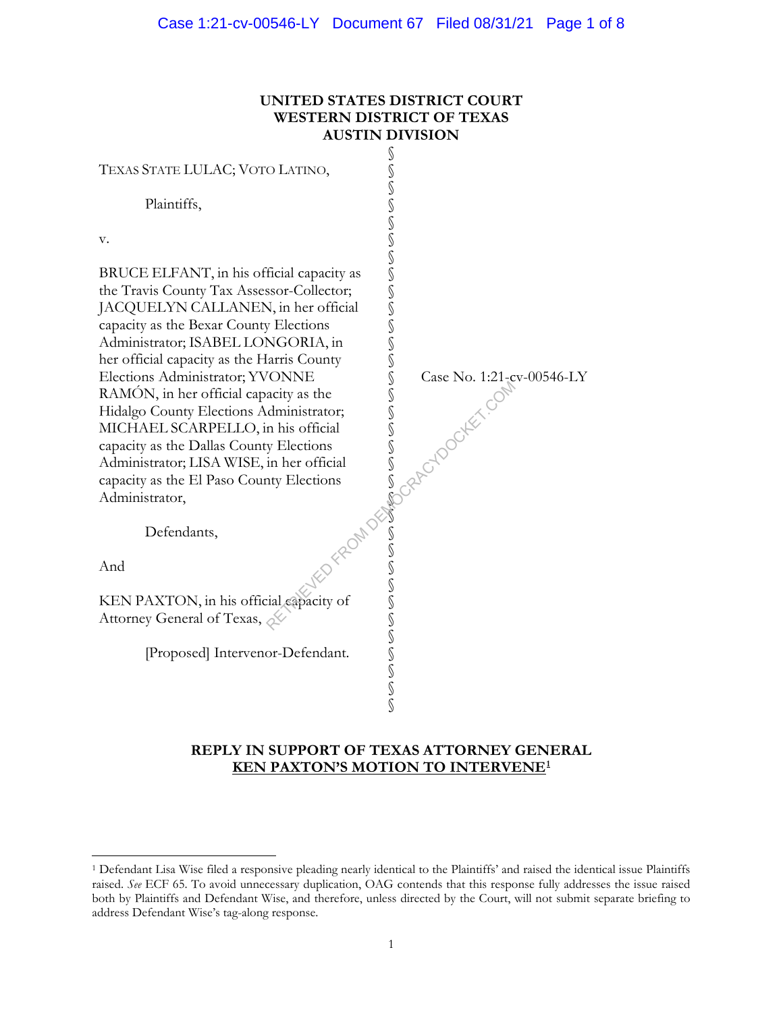#### **UNITED STATES DISTRICT COURT WESTERN DISTRICT OF TEXAS AUSTIN DIVISION**



## **REPLY IN SUPPORT OF TEXAS ATTORNEY GENERAL KEN PAXTON'S MOTION TO INTERVENE1**

<sup>1</sup> Defendant Lisa Wise filed a responsive pleading nearly identical to the Plaintiffs' and raised the identical issue Plaintiffs raised. *See* ECF 65. To avoid unnecessary duplication, OAG contends that this response fully addresses the issue raised both by Plaintiffs and Defendant Wise, and therefore, unless directed by the Court, will not submit separate briefing to address Defendant Wise's tag-along response.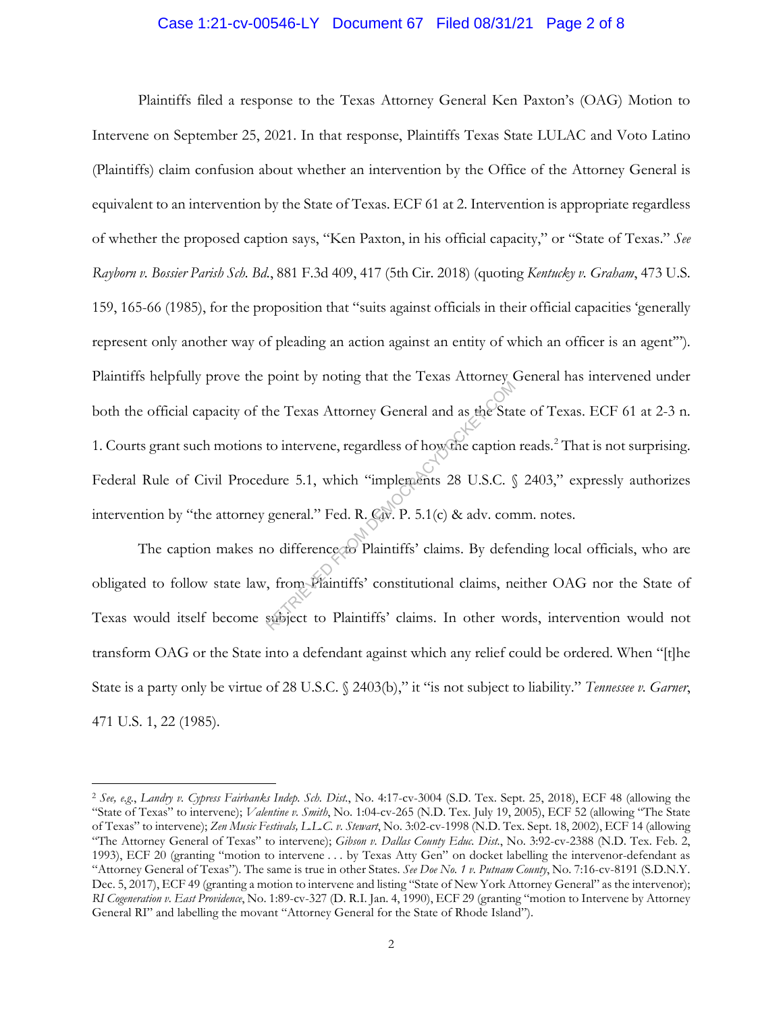#### Case 1:21-cv-00546-LY Document 67 Filed 08/31/21 Page 2 of 8

Plaintiffs filed a response to the Texas Attorney General Ken Paxton's (OAG) Motion to Intervene on September 25, 2021. In that response, Plaintiffs Texas State LULAC and Voto Latino (Plaintiffs) claim confusion about whether an intervention by the Office of the Attorney General is equivalent to an intervention by the State of Texas. ECF 61 at 2. Intervention is appropriate regardless of whether the proposed caption says, "Ken Paxton, in his official capacity," or "State of Texas." *See Rayborn v. Bossier Parish Sch. Bd.*, 881 F.3d 409, 417 (5th Cir. 2018) (quoting *Kentucky v. Graham*, 473 U.S. 159, 165-66 (1985), for the proposition that "suits against officials in their official capacities 'generally represent only another way of pleading an action against an entity of which an officer is an agent'"). Plaintiffs helpfully prove the point by noting that the Texas Attorney General has intervened under both the official capacity of the Texas Attorney General and as the State of Texas. ECF 61 at 2-3 n. 1. Courts grant such motions to intervene, regardless of how the caption reads.<sup>2</sup> That is not surprising. Federal Rule of Civil Procedure 5.1, which "implements 28 U.S.C. § 2403," expressly authorizes intervention by "the attorney general." Fed. R. Civ. P. 5.1(c) & adv. comm. notes. The Texas Attorney General and as the State of Texas Attorney General and as the State of the Caption<br>dure 5.1, which "implements 28 U.S.C. §<br>general." Fed. R. Cov. P. 5.1(c) & adv. con<br>o difference to Plaintiffs' claims.

The caption makes no difference to Plaintiffs' claims. By defending local officials, who are obligated to follow state law, from Plaintiffs' constitutional claims, neither OAG nor the State of Texas would itself become subject to Plaintiffs' claims. In other words, intervention would not transform OAG or the State into a defendant against which any relief could be ordered. When "[t]he State is a party only be virtue of 28 U.S.C. § 2403(b)," it "is not subject to liability." *Tennessee v. Garner*, 471 U.S. 1, 22 (1985).

<sup>2</sup> *See, e.g.*, *Landry v. Cypress Fairbanks Indep. Sch. Dist.*, No. 4:17-cv-3004 (S.D. Tex. Sept. 25, 2018), ECF 48 (allowing the "State of Texas" to intervene); *Valentine v. Smith*, No. 1:04-cv-265 (N.D. Tex. July 19, 2005), ECF 52 (allowing "The State of Texas" to intervene); *Zen Music Festivals, L.L.C. v. Stewart*, No. 3:02-cv-1998 (N.D. Tex. Sept. 18, 2002), ECF 14 (allowing "The Attorney General of Texas" to intervene); *Gibson v. Dallas County Educ. Dist.*, No. 3:92-cv-2388 (N.D. Tex. Feb. 2, 1993), ECF 20 (granting "motion to intervene . . . by Texas Atty Gen" on docket labelling the intervenor-defendant as "Attorney General of Texas"). The same is true in other States. *See Doe No. 1 v. Putnam County*, No. 7:16-cv-8191 (S.D.N.Y. Dec. 5, 2017), ECF 49 (granting a motion to intervene and listing "State of New York Attorney General" as the intervenor); *RI Cogeneration v. East Providence*, No. 1:89-cv-327 (D. R.I. Jan. 4, 1990), ECF 29 (granting "motion to Intervene by Attorney General RI" and labelling the movant "Attorney General for the State of Rhode Island").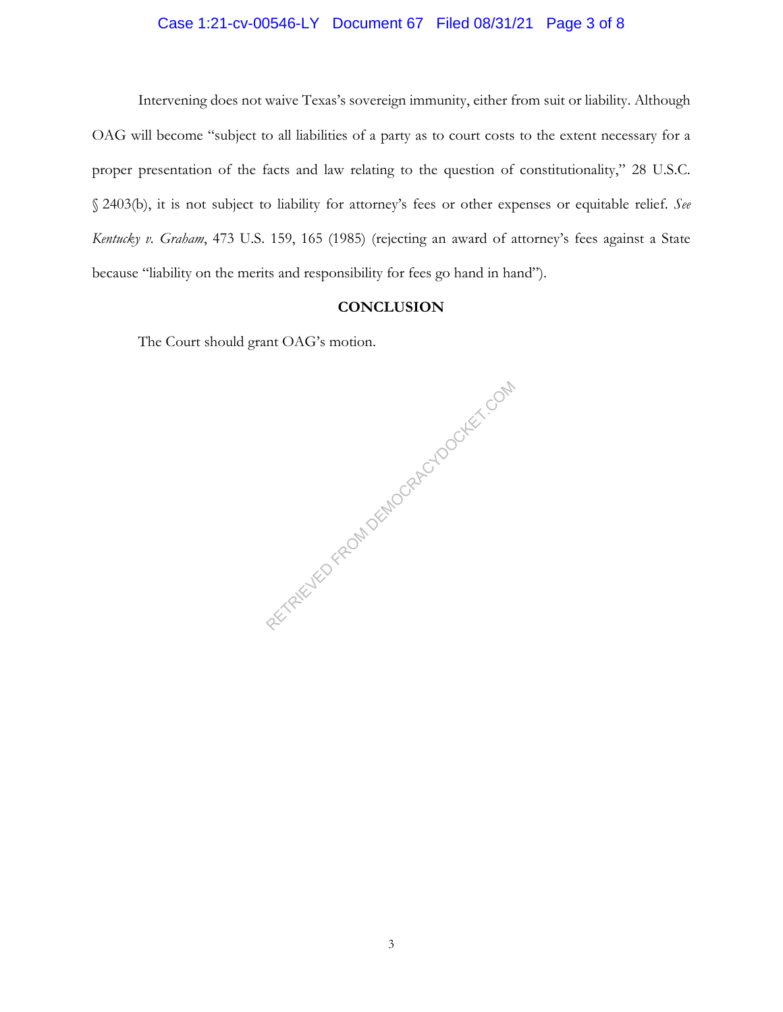# Case 1:21-cv-00546-LY Document 67 Filed 08/31/21 Page 3 of 8

Intervening does not waive Texas's sovereign immunity, either from suit or liability. Although OAG will become "subject to all liabilities of a party as to court costs to the extent necessary for a proper presentation of the facts and law relating to the question of constitutionality," 28 U.S.C. § 2403(b), it is not subject to liability for attorney's fees or other expenses or equitable relief. *See Kentucky v. Graham*, 473 U.S. 159, 165 (1985) (rejecting an award of attorney's fees against a State because "liability on the merits and responsibility for fees go hand in hand").

#### **CONCLUSION**

The Court should grant OAG's motion.

RETRIEVED FROM DEMOCRACYDOCKET.COM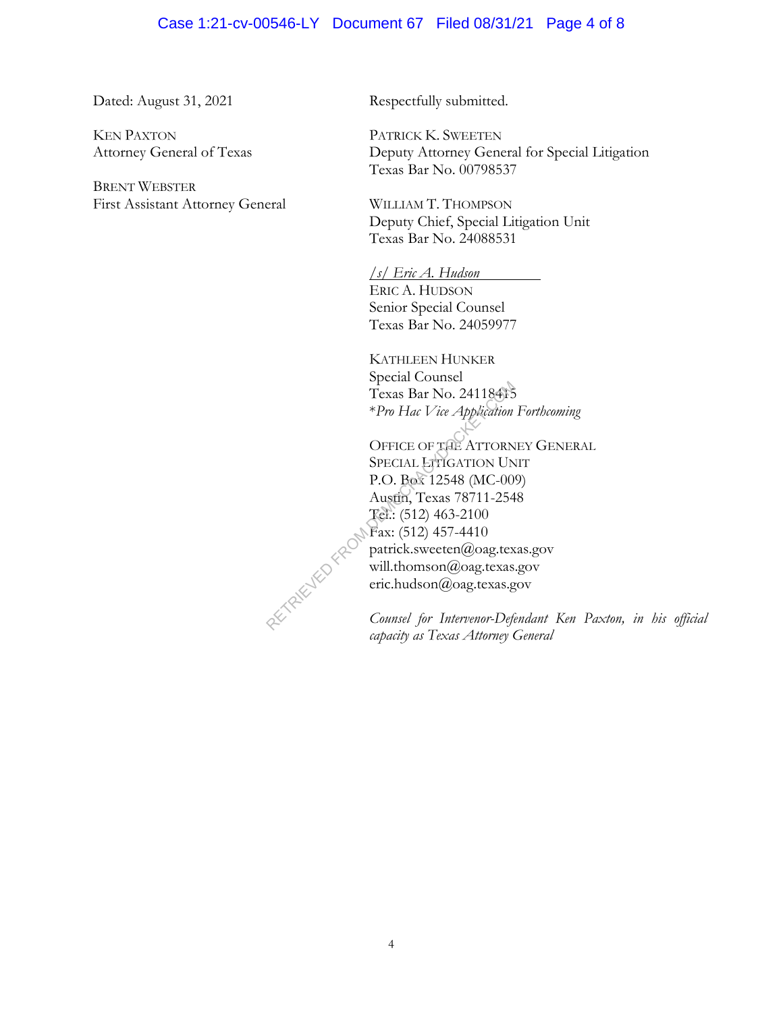#### Case 1:21-cv-00546-LY Document 67 Filed 08/31/21 Page 4 of 8

Dated: August 31, 2021

KEN PAXTON Attorney General of Texas

BRENT WEBSTER First Assistant Attorney General Respectfully submitted.

PATRICK K. SWEETEN Deputy Attorney General for Special Litigation Texas Bar No. 00798537

WILLIAM T. THOMPSON Deputy Chief, Special Litigation Unit Texas Bar No. 24088531

*/s/ Eric A. Hudson* ERIC A. HUDSON Senior Special Counsel Texas Bar No. 24059977

KATHLEEN HUNKER Special Counsel Texas Bar No. 24118415 \**Pro Hac Vice Application Forthcoming*

OFFICE OF THE ATTORNEY GENERAL SPECIAL LITIGATION UNIT P.O. Box 12548 (MC-009) Austin, Texas 78711-2548 Tel.: (512) 463-2100 Fax: (512) 457-4410 patrick.sweeten@oag.texas.gov will.thomson@oag.texas.gov eric.hudson@oag.texas.gov

*Counsel for Intervenor-Defendant Ken Paxton, in his official capacity as Texas Attorney General*

RETRIEVED FROM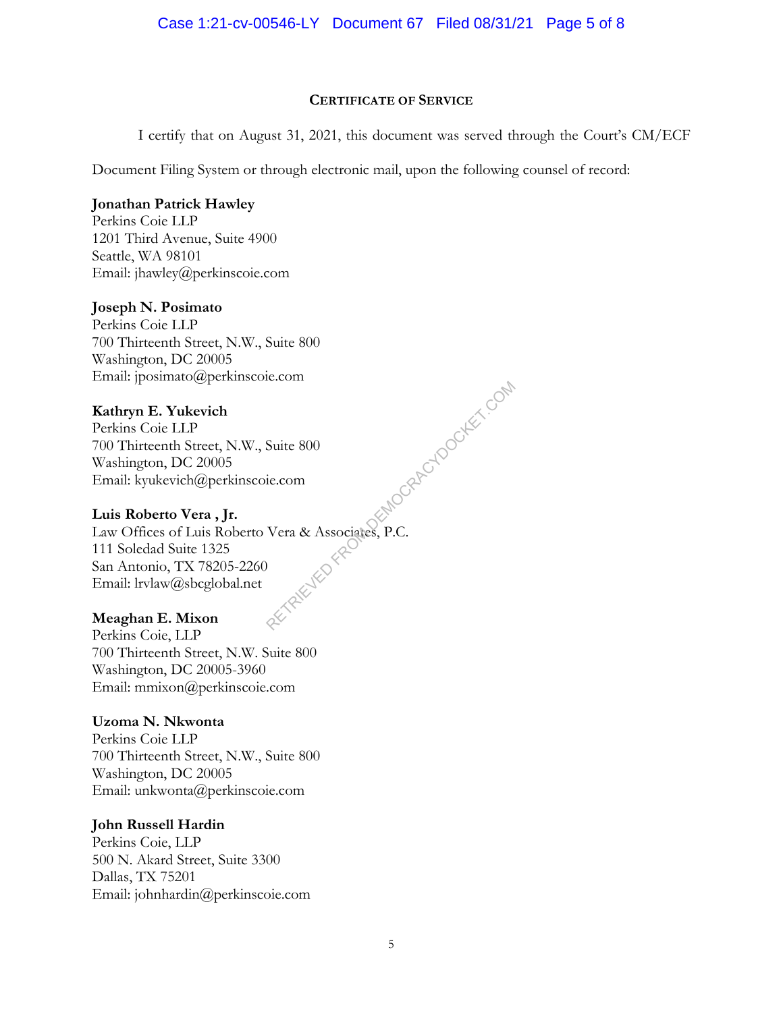#### **CERTIFICATE OF SERVICE**

I certify that on August 31, 2021, this document was served through the Court's CM/ECF

Document Filing System or through electronic mail, upon the following counsel of record:

## **Jonathan Patrick Hawley**

Perkins Coie LLP 1201 Third Avenue, Suite 4900 Seattle, WA 98101 Email: jhawley@perkinscoie.com

## **Joseph N. Posimato**

Perkins Coie LLP 700 Thirteenth Street, N.W., Suite 800 Washington, DC 20005 Email: jposimato@perkinscoie.com

# **Kathryn E. Yukevich**

Perkins Coie LLP 700 Thirteenth Street, N.W., Suite 800 Washington, DC 20005 Email: kyukevich@perkinscoie.com

## **Luis Roberto Vera , Jr.**

Law Offices of Luis Roberto Vera & Associates, P.C. 111 Soledad Suite 1325 San Antonio, TX 78205-2260 Email: lrvlaw@sbcglobal.net MOGRAPOLYCOM DOCKET.COM

#### **Meaghan E. Mixon**

Perkins Coie, LLP 700 Thirteenth Street, N.W. Suite 800 Washington, DC 20005-3960 Email: mmixon@perkinscoie.com

## **Uzoma N. Nkwonta**

Perkins Coie LLP 700 Thirteenth Street, N.W., Suite 800 Washington, DC 20005 Email: unkwonta@perkinscoie.com

## **John Russell Hardin**

Perkins Coie, LLP 500 N. Akard Street, Suite 3300 Dallas, TX 75201 Email: johnhardin@perkinscoie.com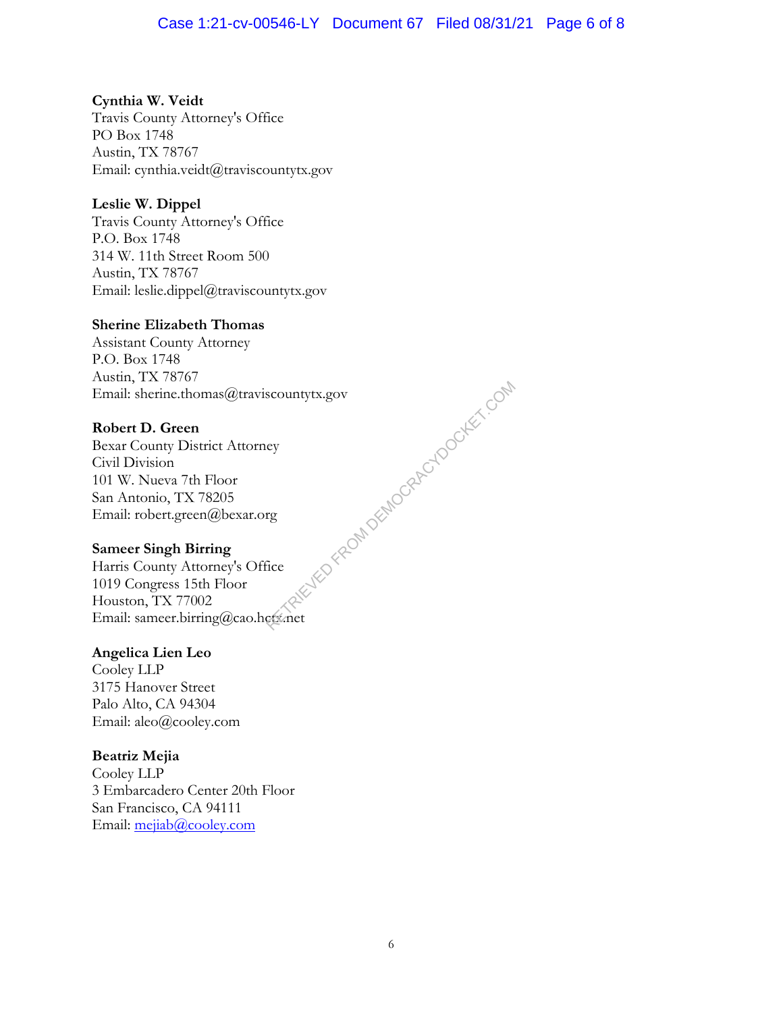**Cynthia W. Veidt** Travis County Attorney's Office PO Box 1748 Austin, TX 78767 Email: cynthia.veidt@traviscountytx.gov

# **Leslie W. Dippel**

Travis County Attorney's Office P.O. Box 1748 314 W. 11th Street Room 500 Austin, TX 78767 Email: leslie.dippel@traviscountytx.gov

#### **Sherine Elizabeth Thomas**

Assistant County Attorney P.O. Box 1748 Austin, TX 78767 Email: sherine.thomas@traviscountytx.gov **XIED FROM DEMOCRACYDOCKET.COM** 

## **Robert D. Green**

Bexar County District Attorney Civil Division 101 W. Nueva 7th Floor San Antonio, TX 78205 Email: robert.green@bexar.org

## **Sameer Singh Birring**

Harris County Attorney's Office 1019 Congress 15th Floor Houston, TX 77002 Email: sameer.birring@cao.hctx.net

## **Angelica Lien Leo**

Cooley LLP 3175 Hanover Street Palo Alto, CA 94304 Email: aleo@cooley.com

# **Beatriz Mejia**

Cooley LLP 3 Embarcadero Center 20th Floor San Francisco, CA 94111 Email: mejiab@cooley.com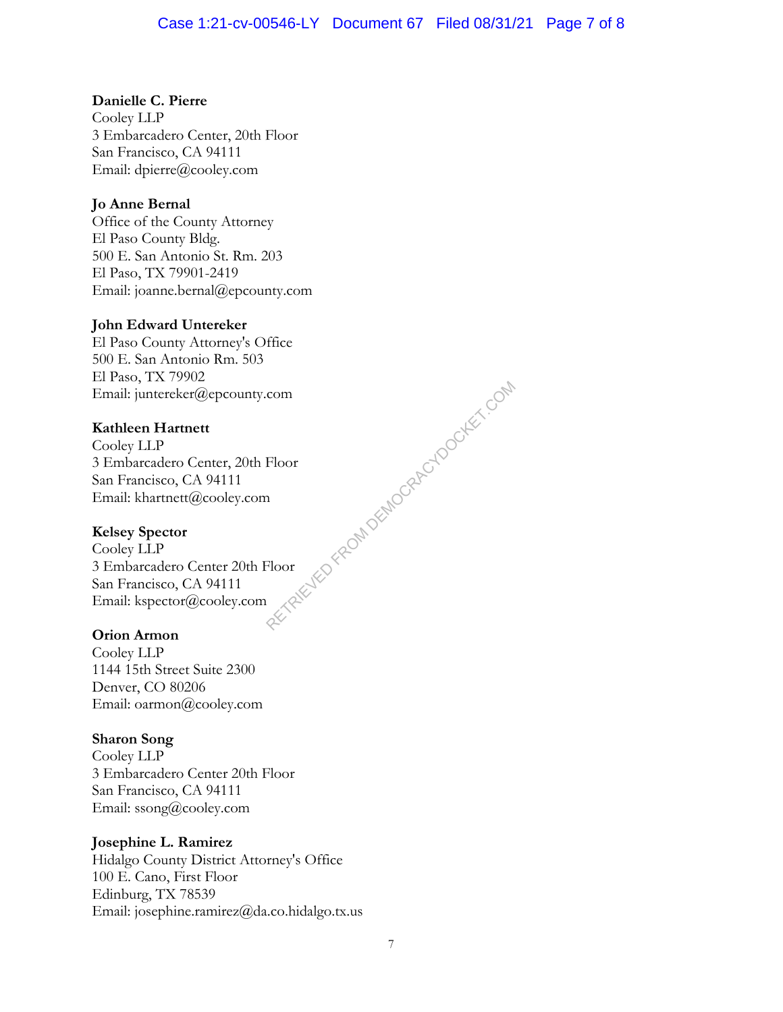# **Danielle C. Pierre**

Cooley LLP 3 Embarcadero Center, 20th Floor San Francisco, CA 94111 Email: dpierre@cooley.com

# **Jo Anne Bernal**

Office of the County Attorney El Paso County Bldg. 500 E. San Antonio St. Rm. 203 El Paso, TX 79901-2419 Email: joanne.bernal@epcounty.com

## **John Edward Untereker**

El Paso County Attorney's Office 500 E. San Antonio Rm. 503 El Paso, TX 79902 Email: juntereker@epcounty.com

# **Kathleen Hartnett**

Cooley LLP 3 Embarcadero Center, 20th Floor San Francisco, CA 94111 Email: khartnett@cooley.com

## **Kelsey Spector**

Cooley LLP 3 Embarcadero Center 20th Floor San Francisco, CA 94111 Email: kspector@cooley.com RENEW FROM DEMOCRACYDOCKET.COM

## **Orion Armon**

Cooley LLP 1144 15th Street Suite 2300 Denver, CO 80206 Email: oarmon@cooley.com

## **Sharon Song**

Cooley LLP 3 Embarcadero Center 20th Floor San Francisco, CA 94111 Email: ssong@cooley.com

## **Josephine L. Ramirez**

Hidalgo County District Attorney's Office 100 E. Cano, First Floor Edinburg, TX 78539 Email: josephine.ramirez@da.co.hidalgo.tx.us